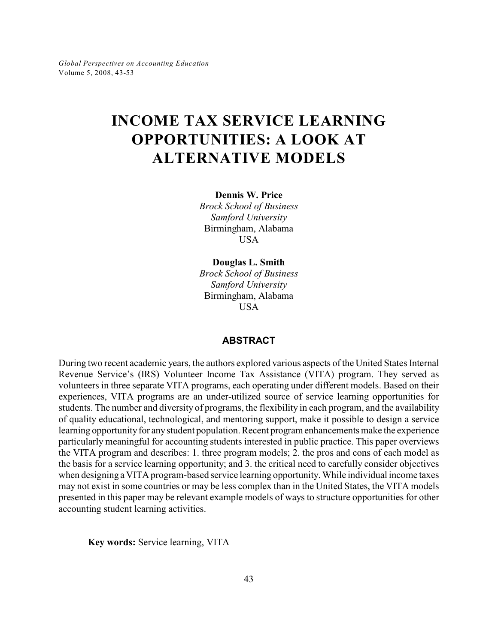# **INCOME TAX SERVICE LEARNING OPPORTUNITIES: A LOOK AT ALTERNATIVE MODELS**

**Dennis W. Price**

*Brock School of Business Samford University* Birmingham, Alabama USA

**Douglas L. Smith** *Brock School of Business Samford University* Birmingham, Alabama **USA** 

# **ABSTRACT**

During two recent academic years, the authors explored various aspects ofthe United States Internal Revenue Service's (IRS) Volunteer Income Tax Assistance (VITA) program. They served as volunteers in three separate VITA programs, each operating under different models. Based on their experiences, VITA programs are an under-utilized source of service learning opportunities for students. The number and diversity of programs, the flexibility in each program, and the availability of quality educational, technological, and mentoring support, make it possible to design a service learning opportunity for any student population. Recent program enhancements make the experience particularly meaningful for accounting students interested in public practice. This paper overviews the VITA program and describes: 1. three program models; 2. the pros and cons of each model as the basis for a service learning opportunity; and 3. the critical need to carefully consider objectives when designing a VITA program-based service learning opportunity. While individual income taxes may not exist in some countries or may be less complex than in the United States, the VITA models presented in this paper may be relevant example models of ways to structure opportunities for other accounting student learning activities.

**Key words:** Service learning, VITA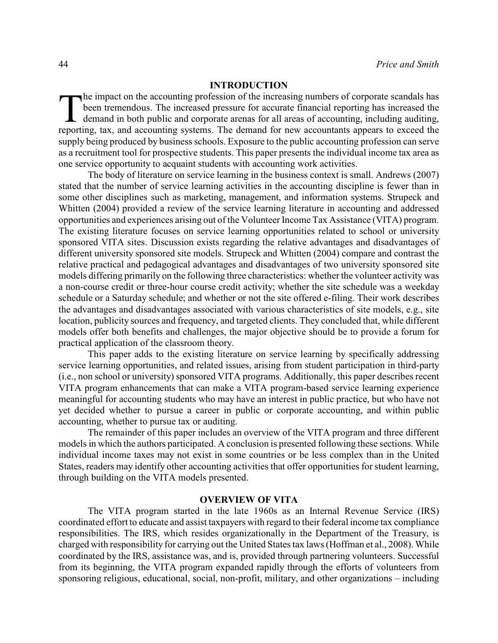## **INTRODUCTION**

The impact on the accounting profession of the increasing numbers of corporate scandals has<br>been tremendous. The increased pressure for accurate financial reporting has increased the<br>demand in both public and corporate are he impact on the accounting profession of the increasing numbers of corporate scandals has been tremendous. The increased pressure for accurate financial reporting has increased the demand in both public and corporate arenas for all areas of accounting, including auditing, supply being produced by business schools. Exposure to the public accounting profession can serve as a recruitment tool for prospective students. This paper presents the individual income tax area as one service opportunity to acquaint students with accounting work activities.

The body of literature on service learning in the business context is small. Andrews (2007) stated that the number of service learning activities in the accounting discipline is fewer than in some other disciplines such as marketing, management, and information systems. Strupeck and Whitten (2004) provided a review of the service learning literature in accounting and addressed opportunities and experiences arising out of the Volunteer Income Tax Assistance (VITA) program. The existing literature focuses on service learning opportunities related to school or university sponsored VITA sites. Discussion exists regarding the relative advantages and disadvantages of different university sponsored site models. Strupeck and Whitten (2004) compare and contrast the relative practical and pedagogical advantages and disadvantages of two university sponsored site models differing primarily on the following three characteristics: whether the volunteer activity was a non-course credit or three-hour course credit activity; whether the site schedule was a weekday schedule or a Saturday schedule; and whether or not the site offered e-filing. Their work describes the advantages and disadvantages associated with various characteristics of site models, e.g., site location, publicity sources and frequency, and targeted clients. They concluded that, while different models offer both benefits and challenges, the major objective should be to provide a forum for practical application of the classroom theory.

This paper adds to the existing literature on service learning by specifically addressing service learning opportunities, and related issues, arising from student participation in third-party (i.e., non school or university) sponsored VITA programs. Additionally, this paper describes recent VITA program enhancements that can make a VITA program-based service learning experience meaningful for accounting students who may have an interest in public practice, but who have not yet decided whether to pursue a career in public or corporate accounting, and within public accounting, whether to pursue tax or auditing.

The remainder of this paper includes an overview of the VITA program and three different models in which the authors participated. A conclusion is presented following these sections. While individual income taxes may not exist in some countries or be less complex than in the United States, readers may identify other accounting activities that offer opportunities for student learning, through building on the VITA models presented.

#### **OVERVIEW OF VITA**

The VITA program started in the late 1960s as an Internal Revenue Service (IRS) coordinated effort to educate and assist taxpayers with regard to their federal income tax compliance responsibilities. The IRS, which resides organizationally in the Department of the Treasury, is charged with responsibility for carrying out the United States tax laws(Hoffman et al., 2008). While coordinated by the IRS, assistance was, and is, provided through partnering volunteers. Successful from its beginning, the VITA program expanded rapidly through the efforts of volunteers from sponsoring religious, educational, social, non-profit, military, and other organizations – including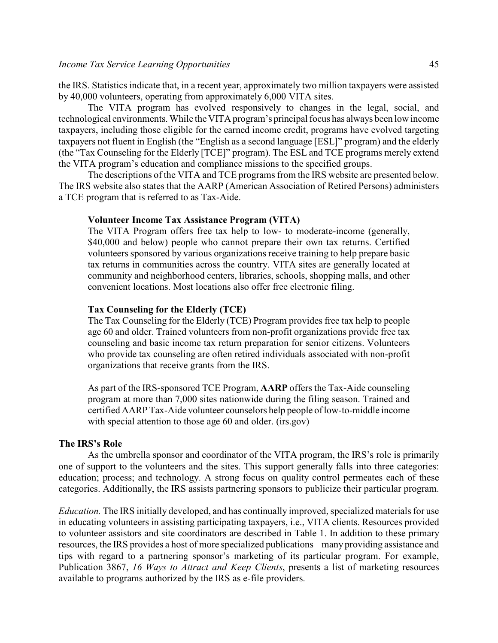the IRS. Statistics indicate that, in a recent year, approximately two million taxpayers were assisted by 40,000 volunteers, operating from approximately 6,000 VITA sites.

The VITA program has evolved responsively to changes in the legal, social, and technological environments. While the VITA program's principal focus has always been low income taxpayers, including those eligible for the earned income credit, programs have evolved targeting taxpayers not fluent in English (the "English as a second language [ESL]" program) and the elderly (the "Tax Counseling for the Elderly [TCE]" program). The ESL and TCE programs merely extend the VITA program's education and compliance missions to the specified groups.

The descriptions of the VITA and TCE programs from the IRS website are presented below. The IRS website also states that the AARP (American Association of Retired Persons) administers a TCE program that is referred to as Tax-Aide.

## **Volunteer Income Tax Assistance Program (VITA)**

The VITA Program offers free tax help to low- to moderate-income (generally, \$40,000 and below) people who cannot prepare their own tax returns. Certified volunteers sponsored by various organizations receive training to help prepare basic tax returns in communities across the country. VITA sites are generally located at community and neighborhood centers, libraries, schools, shopping malls, and other convenient locations. Most locations also offer free electronic filing.

## **Tax Counseling for the Elderly (TCE)**

The Tax Counseling for the Elderly (TCE) Program provides free tax help to people age 60 and older. Trained volunteers from non-profit organizations provide free tax counseling and basic income tax return preparation for senior citizens. Volunteers who provide tax counseling are often retired individuals associated with non-profit organizations that receive grants from the IRS.

As part of the IRS-sponsored TCE Program, **AARP** offers the Tax-Aide counseling program at more than 7,000 sites nationwide during the filing season. Trained and certified AARP Tax-Aide volunteer counselors help people of low-to-middle income with special attention to those age 60 and older. (irs.gov)

## **The IRS's Role**

As the umbrella sponsor and coordinator of the VITA program, the IRS's role is primarily one of support to the volunteers and the sites. This support generally falls into three categories: education; process; and technology. A strong focus on quality control permeates each of these categories. Additionally, the IRS assists partnering sponsors to publicize their particular program.

*Education*. The IRS initially developed, and has continually improved, specialized materials for use in educating volunteers in assisting participating taxpayers, i.e., VITA clients. Resources provided to volunteer assistors and site coordinators are described in Table 1. In addition to these primary resources, the IRS provides a host of more specialized publications – many providing assistance and tips with regard to a partnering sponsor's marketing of its particular program. For example, Publication 3867, *16 Ways to Attract and Keep Clients*, presents a list of marketing resources available to programs authorized by the IRS as e-file providers.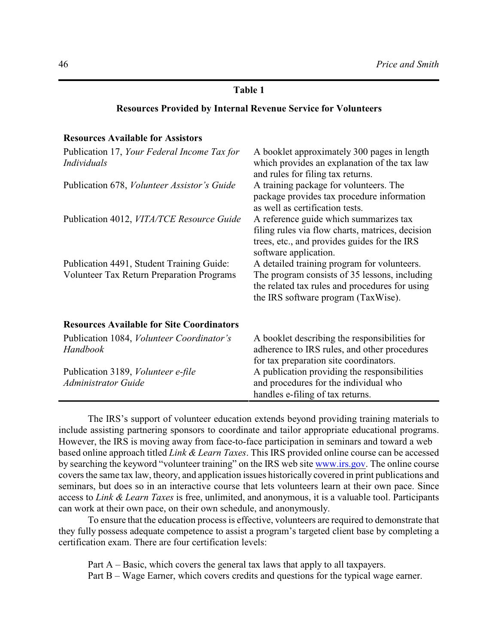## **Table 1**

## **Resources Provided by Internal Revenue Service for Volunteers**

# **Resources Available for Assistors**

| Publication 17, Your Federal Income Tax for<br>Individuals                                    | A booklet approximately 300 pages in length<br>which provides an explanation of the tax law<br>and rules for filing tax returns.                                                                                                                               |
|-----------------------------------------------------------------------------------------------|----------------------------------------------------------------------------------------------------------------------------------------------------------------------------------------------------------------------------------------------------------------|
| Publication 678, Volunteer Assistor's Guide                                                   | A training package for volunteers. The                                                                                                                                                                                                                         |
| Publication 4012, VITA/TCE Resource Guide                                                     | package provides tax procedure information<br>as well as certification tests.<br>A reference guide which summarizes tax<br>filing rules via flow charts, matrices, decision                                                                                    |
| Publication 4491, Student Training Guide:<br><b>Volunteer Tax Return Preparation Programs</b> | trees, etc., and provides guides for the IRS<br>software application.<br>A detailed training program for volunteers.<br>The program consists of 35 lessons, including<br>the related tax rules and procedures for using<br>the IRS software program (TaxWise). |
| <b>Resources Available for Site Coordinators</b>                                              |                                                                                                                                                                                                                                                                |
| Publication 1084, <i>Volunteer Coordinator's</i><br>Handbook                                  | A booklet describing the responsibilities for<br>adherence to IRS rules, and other procedures<br>for tax preparation site coordinators.                                                                                                                        |
| Publication 3189, Volunteer e-file<br><b>Administrator Guide</b>                              | A publication providing the responsibilities<br>and procedures for the individual who<br>handles e-filing of tax returns.                                                                                                                                      |

The IRS's support of volunteer education extends beyond providing training materials to include assisting partnering sponsors to coordinate and tailor appropriate educational programs. However, the IRS is moving away from face-to-face participation in seminars and toward a web based online approach titled *Link & Learn Taxes*. This IRS provided online course can be accessed by searching the keyword "volunteer training" on the IRS web site [www.irs.gov](http://www.irs.gov). The online course covers the same tax law, theory, and application issues historically covered in print publications and seminars, but does so in an interactive course that lets volunteers learn at their own pace. Since access to *Link & Learn Taxes* is free, unlimited, and anonymous, it is a valuable tool. Participants can work at their own pace, on their own schedule, and anonymously.

To ensure that the education process is effective, volunteers are required to demonstrate that they fully possess adequate competence to assist a program's targeted client base by completing a certification exam. There are four certification levels:

Part A – Basic, which covers the general tax laws that apply to all taxpayers.

Part B – Wage Earner, which covers credits and questions for the typical wage earner.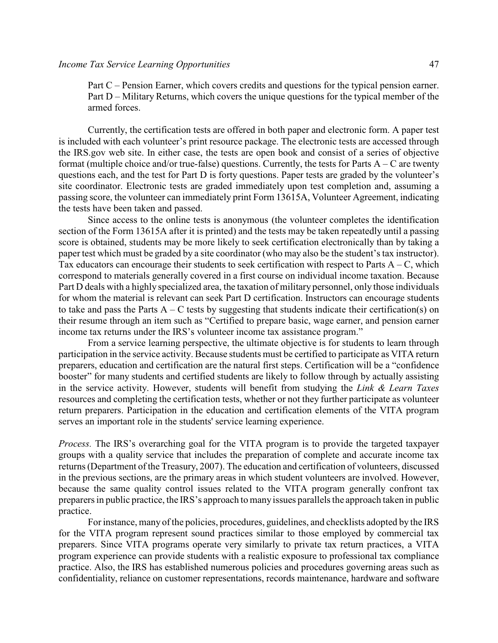Part C – Pension Earner, which covers credits and questions for the typical pension earner. Part D – Military Returns, which covers the unique questions for the typical member of the armed forces.

Currently, the certification tests are offered in both paper and electronic form. A paper test is included with each volunteer's print resource package. The electronic tests are accessed through the IRS.gov web site. In either case, the tests are open book and consist of a series of objective format (multiple choice and/or true-false) questions. Currently, the tests for Parts  $A - C$  are twenty questions each, and the test for Part D is forty questions. Paper tests are graded by the volunteer's site coordinator. Electronic tests are graded immediately upon test completion and, assuming a passing score, the volunteer can immediately print Form 13615A, Volunteer Agreement, indicating the tests have been taken and passed.

Since access to the online tests is anonymous (the volunteer completes the identification section of the Form 13615A after it is printed) and the tests may be taken repeatedly until a passing score is obtained, students may be more likely to seek certification electronically than by taking a paper test which must be graded by a site coordinator (who may also be the student's tax instructor). Tax educators can encourage their students to seek certification with respect to Parts  $A - C$ , which correspond to materials generally covered in a first course on individual income taxation. Because Part D deals with a highly specialized area, the taxation of military personnel, only those individuals for whom the material is relevant can seek Part D certification. Instructors can encourage students to take and pass the Parts  $A - C$  tests by suggesting that students indicate their certification(s) on their resume through an item such as "Certified to prepare basic, wage earner, and pension earner income tax returns under the IRS's volunteer income tax assistance program."

From a service learning perspective, the ultimate objective is for students to learn through participation in the service activity. Because students must be certified to participate as VITA return preparers, education and certification are the natural first steps. Certification will be a "confidence booster" for many students and certified students are likely to follow through by actually assisting in the service activity. However, students will benefit from studying the *Link & Learn Taxes* resources and completing the certification tests, whether or not they further participate as volunteer return preparers. Participation in the education and certification elements of the VITA program serves an important role in the students' service learning experience.

*Process.* The IRS's overarching goal for the VITA program is to provide the targeted taxpayer groups with a quality service that includes the preparation of complete and accurate income tax returns (Department of the Treasury, 2007). The education and certification of volunteers, discussed in the previous sections, are the primary areas in which student volunteers are involved. However, because the same quality control issues related to the VITA program generally confront tax preparers in public practice, the IRS's approach to many issues parallels the approach taken in public practice.

For instance, many of the policies, procedures, guidelines, and checklists adopted by the IRS for the VITA program represent sound practices similar to those employed by commercial tax preparers. Since VITA programs operate very similarly to private tax return practices, a VITA program experience can provide students with a realistic exposure to professional tax compliance practice. Also, the IRS has established numerous policies and procedures governing areas such as confidentiality, reliance on customer representations, records maintenance, hardware and software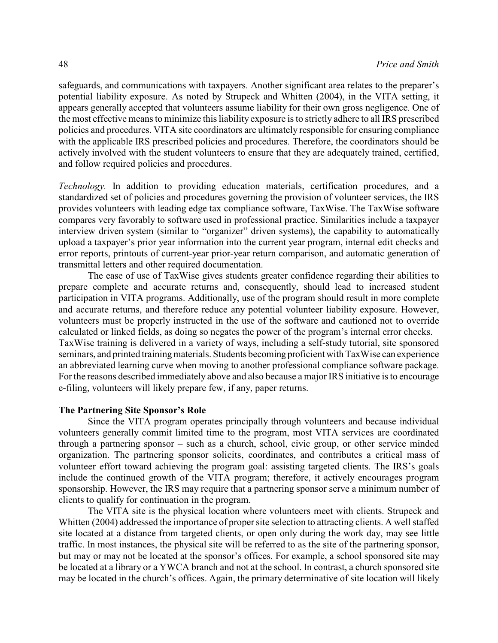safeguards, and communications with taxpayers. Another significant area relates to the preparer's potential liability exposure. As noted by Strupeck and Whitten (2004), in the VITA setting, it appears generally accepted that volunteers assume liability for their own gross negligence. One of the most effective means to minimize this liability exposure is to strictly adhere to all IRS prescribed policies and procedures. VITA site coordinators are ultimately responsible for ensuring compliance with the applicable IRS prescribed policies and procedures. Therefore, the coordinators should be actively involved with the student volunteers to ensure that they are adequately trained, certified, and follow required policies and procedures.

*Technology.* In addition to providing education materials, certification procedures, and a standardized set of policies and procedures governing the provision of volunteer services, the IRS provides volunteers with leading edge tax compliance software, TaxWise. The TaxWise software compares very favorably to software used in professional practice. Similarities include a taxpayer interview driven system (similar to "organizer" driven systems), the capability to automatically upload a taxpayer's prior year information into the current year program, internal edit checks and error reports, printouts of current-year prior-year return comparison, and automatic generation of transmittal letters and other required documentation.

The ease of use of TaxWise gives students greater confidence regarding their abilities to prepare complete and accurate returns and, consequently, should lead to increased student participation in VITA programs. Additionally, use of the program should result in more complete and accurate returns, and therefore reduce any potential volunteer liability exposure. However, volunteers must be properly instructed in the use of the software and cautioned not to override calculated or linked fields, as doing so negates the power of the program's internal error checks. TaxWise training is delivered in a variety of ways, including a self-study tutorial, site sponsored seminars, and printed training materials. Students becoming proficient with TaxWise can experience an abbreviated learning curve when moving to another professional compliance software package. For the reasons described immediately above and also because a major IRS initiative is to encourage e-filing, volunteers will likely prepare few, if any, paper returns.

## **The Partnering Site Sponsor's Role**

Since the VITA program operates principally through volunteers and because individual volunteers generally commit limited time to the program, most VITA services are coordinated through a partnering sponsor – such as a church, school, civic group, or other service minded organization. The partnering sponsor solicits, coordinates, and contributes a critical mass of volunteer effort toward achieving the program goal: assisting targeted clients. The IRS's goals include the continued growth of the VITA program; therefore, it actively encourages program sponsorship. However, the IRS may require that a partnering sponsor serve a minimum number of clients to qualify for continuation in the program.

The VITA site is the physical location where volunteers meet with clients. Strupeck and Whitten (2004) addressed the importance of proper site selection to attracting clients. A well staffed site located at a distance from targeted clients, or open only during the work day, may see little traffic. In most instances, the physical site will be referred to as the site of the partnering sponsor, but may or may not be located at the sponsor's offices. For example, a school sponsored site may be located at a library or a YWCA branch and not at the school. In contrast, a church sponsored site may be located in the church's offices. Again, the primary determinative of site location will likely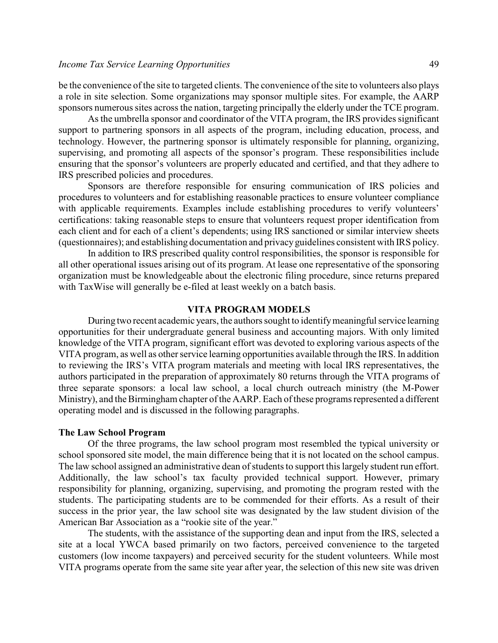be the convenience of the site to targeted clients. The convenience of the site to volunteers also plays a role in site selection. Some organizations may sponsor multiple sites. For example, the AARP sponsors numerous sites across the nation, targeting principally the elderly under the TCE program.

As the umbrella sponsor and coordinator of the VITA program, the IRS provides significant support to partnering sponsors in all aspects of the program, including education, process, and technology. However, the partnering sponsor is ultimately responsible for planning, organizing, supervising, and promoting all aspects of the sponsor's program. These responsibilities include ensuring that the sponsor's volunteers are properly educated and certified, and that they adhere to IRS prescribed policies and procedures.

Sponsors are therefore responsible for ensuring communication of IRS policies and procedures to volunteers and for establishing reasonable practices to ensure volunteer compliance with applicable requirements. Examples include establishing procedures to verify volunteers' certifications: taking reasonable steps to ensure that volunteers request proper identification from each client and for each of a client's dependents; using IRS sanctioned or similar interview sheets (questionnaires); and establishing documentation and privacy guidelines consistent with IRS policy.

In addition to IRS prescribed quality control responsibilities, the sponsor is responsible for all other operational issues arising out of its program. At lease one representative of the sponsoring organization must be knowledgeable about the electronic filing procedure, since returns prepared with TaxWise will generally be e-filed at least weekly on a batch basis.

### **VITA PROGRAM MODELS**

During two recent academic years, the authors sought to identifymeaningful service learning opportunities for their undergraduate general business and accounting majors. With only limited knowledge of the VITA program, significant effort was devoted to exploring various aspects of the VITA program, as well as other service learning opportunities available through the IRS. In addition to reviewing the IRS's VITA program materials and meeting with local IRS representatives, the authors participated in the preparation of approximately 80 returns through the VITA programs of three separate sponsors: a local law school, a local church outreach ministry (the M-Power Ministry), and the Birmingham chapter of the AARP. Each of these programs represented a different operating model and is discussed in the following paragraphs.

## **The Law School Program**

Of the three programs, the law school program most resembled the typical university or school sponsored site model, the main difference being that it is not located on the school campus. The law school assigned an administrative dean of students to support this largely student run effort. Additionally, the law school's tax faculty provided technical support. However, primary responsibility for planning, organizing, supervising, and promoting the program rested with the students. The participating students are to be commended for their efforts. As a result of their success in the prior year, the law school site was designated by the law student division of the American Bar Association as a "rookie site of the year."

The students, with the assistance of the supporting dean and input from the IRS, selected a site at a local YWCA based primarily on two factors, perceived convenience to the targeted customers (low income taxpayers) and perceived security for the student volunteers. While most VITA programs operate from the same site year after year, the selection of this new site was driven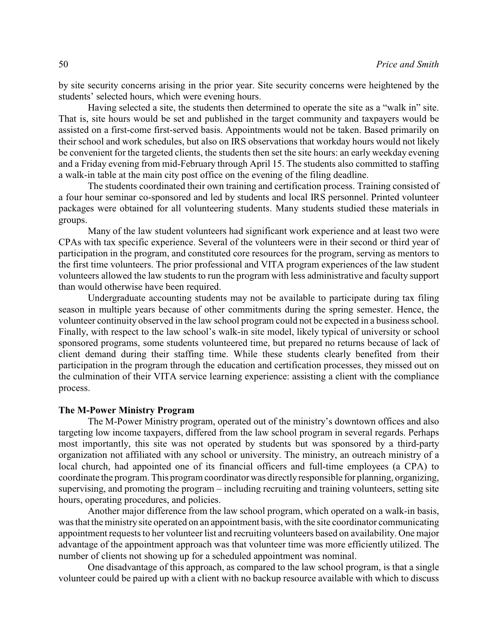by site security concerns arising in the prior year. Site security concerns were heightened by the students' selected hours, which were evening hours.

Having selected a site, the students then determined to operate the site as a "walk in" site. That is, site hours would be set and published in the target community and taxpayers would be assisted on a first-come first-served basis. Appointments would not be taken. Based primarily on their school and work schedules, but also on IRS observations that workday hours would not likely be convenient for the targeted clients, the students then set the site hours: an early weekday evening and a Friday evening from mid-February through April 15. The students also committed to staffing a walk-in table at the main city post office on the evening of the filing deadline.

The students coordinated their own training and certification process. Training consisted of a four hour seminar co-sponsored and led by students and local IRS personnel. Printed volunteer packages were obtained for all volunteering students. Many students studied these materials in groups.

Many of the law student volunteers had significant work experience and at least two were CPAs with tax specific experience. Several of the volunteers were in their second or third year of participation in the program, and constituted core resources for the program, serving as mentors to the first time volunteers. The prior professional and VITA program experiences of the law student volunteers allowed the law students to run the program with less administrative and faculty support than would otherwise have been required.

Undergraduate accounting students may not be available to participate during tax filing season in multiple years because of other commitments during the spring semester. Hence, the volunteer continuity observed in the law school program could not be expected in a business school. Finally, with respect to the law school's walk-in site model, likely typical of university or school sponsored programs, some students volunteered time, but prepared no returns because of lack of client demand during their staffing time. While these students clearly benefited from their participation in the program through the education and certification processes, they missed out on the culmination of their VITA service learning experience: assisting a client with the compliance process.

## **The M-Power Ministry Program**

The M-Power Ministry program, operated out of the ministry's downtown offices and also targeting low income taxpayers, differed from the law school program in several regards. Perhaps most importantly, this site was not operated by students but was sponsored by a third-party organization not affiliated with any school or university. The ministry, an outreach ministry of a local church, had appointed one of its financial officers and full-time employees (a CPA) to coordinate the program. This program coordinator was directly responsible for planning, organizing, supervising, and promoting the program – including recruiting and training volunteers, setting site hours, operating procedures, and policies.

Another major difference from the law school program, which operated on a walk-in basis, was that the ministrysite operated on an appointment basis, with the site coordinator communicating appointment requests to her volunteer list and recruiting volunteers based on availability. One major advantage of the appointment approach was that volunteer time was more efficiently utilized. The number of clients not showing up for a scheduled appointment was nominal.

One disadvantage of this approach, as compared to the law school program, is that a single volunteer could be paired up with a client with no backup resource available with which to discuss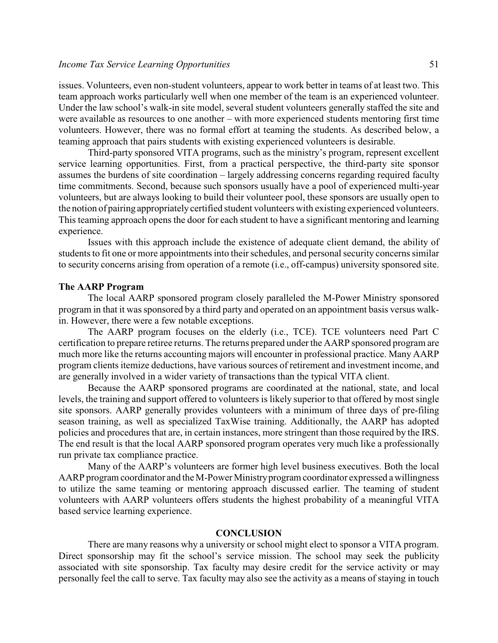issues. Volunteers, even non-student volunteers, appear to work better in teams of at least two. This team approach works particularly well when one member of the team is an experienced volunteer. Under the law school's walk-in site model, several student volunteers generally staffed the site and were available as resources to one another – with more experienced students mentoring first time volunteers. However, there was no formal effort at teaming the students. As described below, a teaming approach that pairs students with existing experienced volunteers is desirable.

Third-party sponsored VITA programs, such as the ministry's program, represent excellent service learning opportunities. First, from a practical perspective, the third-party site sponsor assumes the burdens of site coordination – largely addressing concerns regarding required faculty time commitments. Second, because such sponsors usually have a pool of experienced multi-year volunteers, but are always looking to build their volunteer pool, these sponsors are usually open to the notion of pairing appropriately certified student volunteers with existing experienced volunteers. This teaming approach opens the door for each student to have a significant mentoring and learning experience.

Issues with this approach include the existence of adequate client demand, the ability of students to fit one or more appointments into their schedules, and personal security concerns similar to security concerns arising from operation of a remote (i.e., off-campus) university sponsored site.

## **The AARP Program**

The local AARP sponsored program closely paralleled the M-Power Ministry sponsored program in that it was sponsored by a third party and operated on an appointment basis versus walkin. However, there were a few notable exceptions.

The AARP program focuses on the elderly (i.e., TCE). TCE volunteers need Part C certification to prepare retiree returns. The returns prepared under the AARP sponsored program are much more like the returns accounting majors will encounter in professional practice. Many AARP program clients itemize deductions, have various sources of retirement and investment income, and are generally involved in a wider variety of transactions than the typical VITA client.

Because the AARP sponsored programs are coordinated at the national, state, and local levels, the training and support offered to volunteers is likely superior to that offered by most single site sponsors. AARP generally provides volunteers with a minimum of three days of pre-filing season training, as well as specialized TaxWise training. Additionally, the AARP has adopted policies and procedures that are, in certain instances, more stringent than those required by the IRS. The end result is that the local AARP sponsored program operates very much like a professionally run private tax compliance practice.

Many of the AARP's volunteers are former high level business executives. Both the local AARP program coordinator and the M-Power Ministry program coordinator expressed a willingness to utilize the same teaming or mentoring approach discussed earlier. The teaming of student volunteers with AARP volunteers offers students the highest probability of a meaningful VITA based service learning experience.

#### **CONCLUSION**

There are many reasons why a university or school might elect to sponsor a VITA program. Direct sponsorship may fit the school's service mission. The school may seek the publicity associated with site sponsorship. Tax faculty may desire credit for the service activity or may personally feel the call to serve. Tax faculty may also see the activity as a means of staying in touch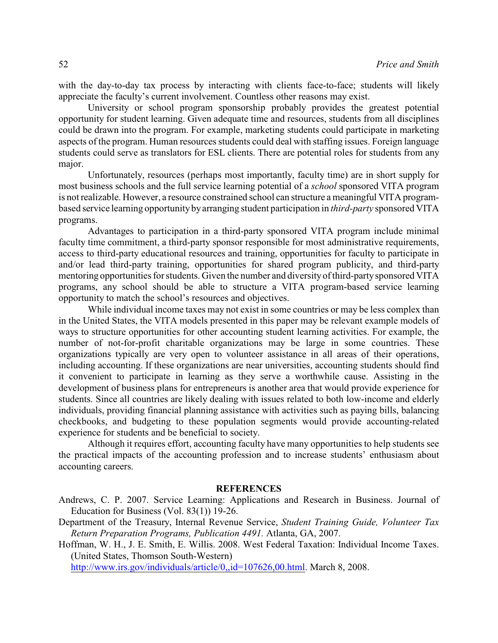with the day-to-day tax process by interacting with clients face-to-face; students will likely appreciate the faculty's current involvement. Countless other reasons may exist.

University or school program sponsorship probably provides the greatest potential opportunity for student learning. Given adequate time and resources, students from all disciplines could be drawn into the program. For example, marketing students could participate in marketing aspects of the program. Human resources students could deal with staffing issues. Foreign language students could serve as translators for ESL clients. There are potential roles for students from any major.

Unfortunately, resources (perhaps most importantly, faculty time) are in short supply for most business schools and the full service learning potential of a *school* sponsored VITA program is not realizable. However, a resource constrained school can structure a meaningful VITA programbased service learning opportunitybyarranging student participation in *third-party* sponsored VITA programs.

Advantages to participation in a third-party sponsored VITA program include minimal faculty time commitment, a third-party sponsor responsible for most administrative requirements, access to third-party educational resources and training, opportunities for faculty to participate in and/or lead third-party training, opportunities for shared program publicity, and third-party mentoring opportunities for students. Given the number and diversity of third-party sponsored VITA programs, any school should be able to structure a VITA program-based service learning opportunity to match the school's resources and objectives.

While individual income taxes may not exist in some countries or may be less complex than in the United States, the VITA models presented in this paper may be relevant example models of ways to structure opportunities for other accounting student learning activities. For example, the number of not-for-profit charitable organizations may be large in some countries. These organizations typically are very open to volunteer assistance in all areas of their operations, including accounting. If these organizations are near universities, accounting students should find it convenient to participate in learning as they serve a worthwhile cause. Assisting in the development of business plans for entrepreneurs is another area that would provide experience for students. Since all countries are likely dealing with issues related to both low-income and elderly individuals, providing financial planning assistance with activities such as paying bills, balancing checkbooks, and budgeting to these population segments would provide accounting-related experience for students and be beneficial to society.

Although it requires effort, accounting faculty have many opportunities to help students see the practical impacts of the accounting profession and to increase students' enthusiasm about accounting careers.

## **REFERENCES**

Andrews, C. P. 2007. Service Learning: Applications and Research in Business. Journal of Education for Business (Vol. 83(1)) 19-26.

Department of the Treasury, Internal Revenue Service, *Student Training Guide, Volunteer Tax Return Preparation Programs, Publication 4491.* Atlanta, GA, 2007.

Hoffman, W. H., J. E. Smith, E. Willis. 2008. West Federal Taxation: Individual Income Taxes. (United States, Thomson South-Western)

<http://www.irs.gov/individuals/article/0,,id=107626,00.html>. March 8, 2008.